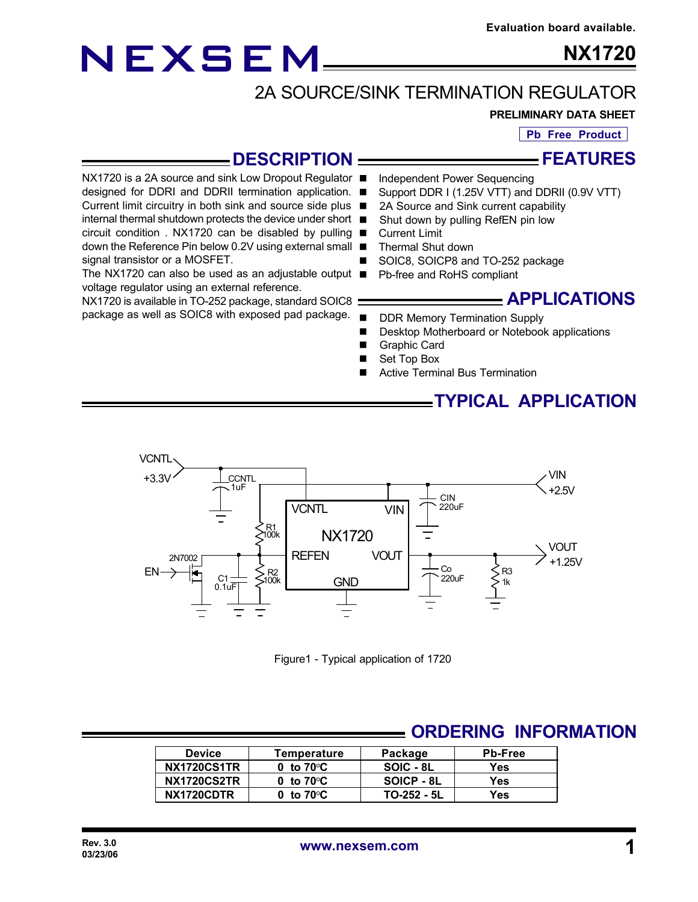## NEXSEM

**NX1720**

### 2A SOURCE/SINK TERMINATION REGULATOR

#### **PRELIMINARY DATA SHEET**

**Pb Free Product**

#### **DESCRIPTION**

**FEATURES**

NX1720 is a 2A source and sink Low Dropout Regulator ■ designed for DDRI and DDRII termination application. ■ Current limit circuitry in both sink and source side plus ■ internal thermal shutdown protects the device under short circuit condition . NX1720 can be disabled by pulling  $\blacksquare$ down the Reference Pin below 0.2V using external small signal transistor or a MOSFET.

The NX1720 can also be used as an adjustable output  $\blacksquare$ voltage regulator using an external reference.

NX1720 is available in TO-252 package, standard SOIC8 package as well as SOIC8 with exposed pad package.

- Independent Power Sequencing
- Support DDR I (1.25V VTT) and DDRII (0.9V VTT)
- 2A Source and Sink current capability
- Shut down by pulling RefEN pin low
- **Current Limit**
- n Thermal Shut down
- SOIC8, SOICP8 and TO-252 package
- Pb-free and RoHS compliant

#### **APPLICATIONS**

- DDR Memory Termination Supply
- Desktop Motherboard or Notebook applications
- **Graphic Card**
- Set Top Box
- Active Terminal Bus Termination

**TYPICAL APPLICATION**



Figure1 - Typical application of 1720

#### **ORDERING INFORMATION**

| <b>Device</b>      | Temperature         | Package     | <b>Pb-Free</b> |
|--------------------|---------------------|-------------|----------------|
| <b>NX1720CS1TR</b> | 0 to $70^{\circ}$ C | SOIC - 8L   | Yes            |
| <b>NX1720CS2TR</b> | 0 to $70^{\circ}$ C | SOICP - 8L  | Yes            |
| NX1720CDTR         | 0 to $70^{\circ}$ C | TO-252 - 5L | Yes            |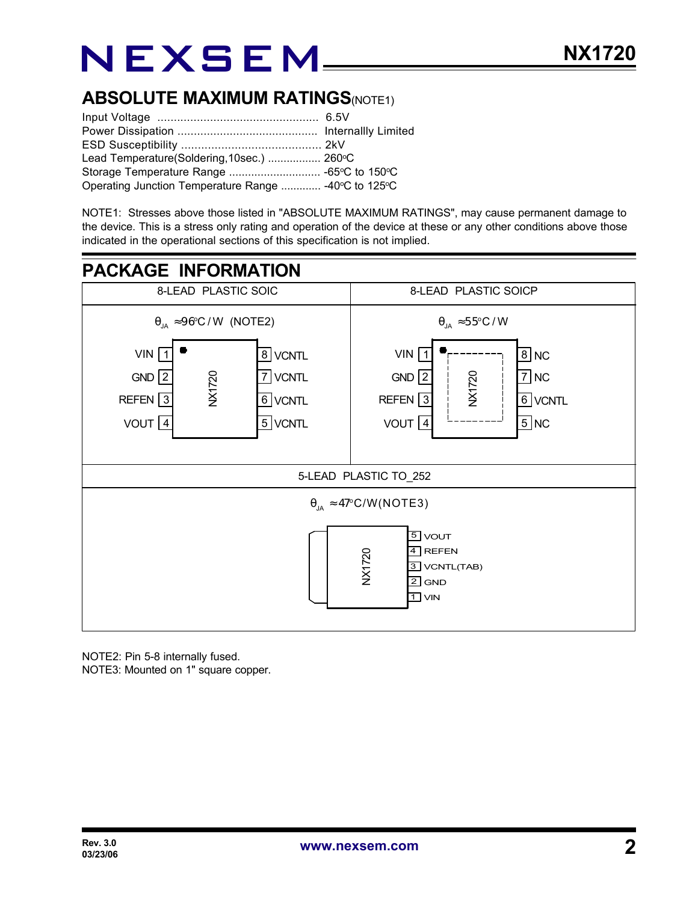# NEXSEM

### **ABSOLUTE MAXIMUM RATINGS(NOTE1)**

| Lead Temperature(Soldering, 10sec.)  260°C           |  |
|------------------------------------------------------|--|
|                                                      |  |
| Operating Junction Temperature Range  -40°C to 125°C |  |

NOTE1: Stresses above those listed in "ABSOLUTE MAXIMUM RATINGS", may cause permanent damage to the device. This is a stress only rating and operation of the device at these or any other conditions above those indicated in the operational sections of this specification is not implied.



NOTE2: Pin 5-8 internally fused. NOTE3: Mounted on 1" square copper.